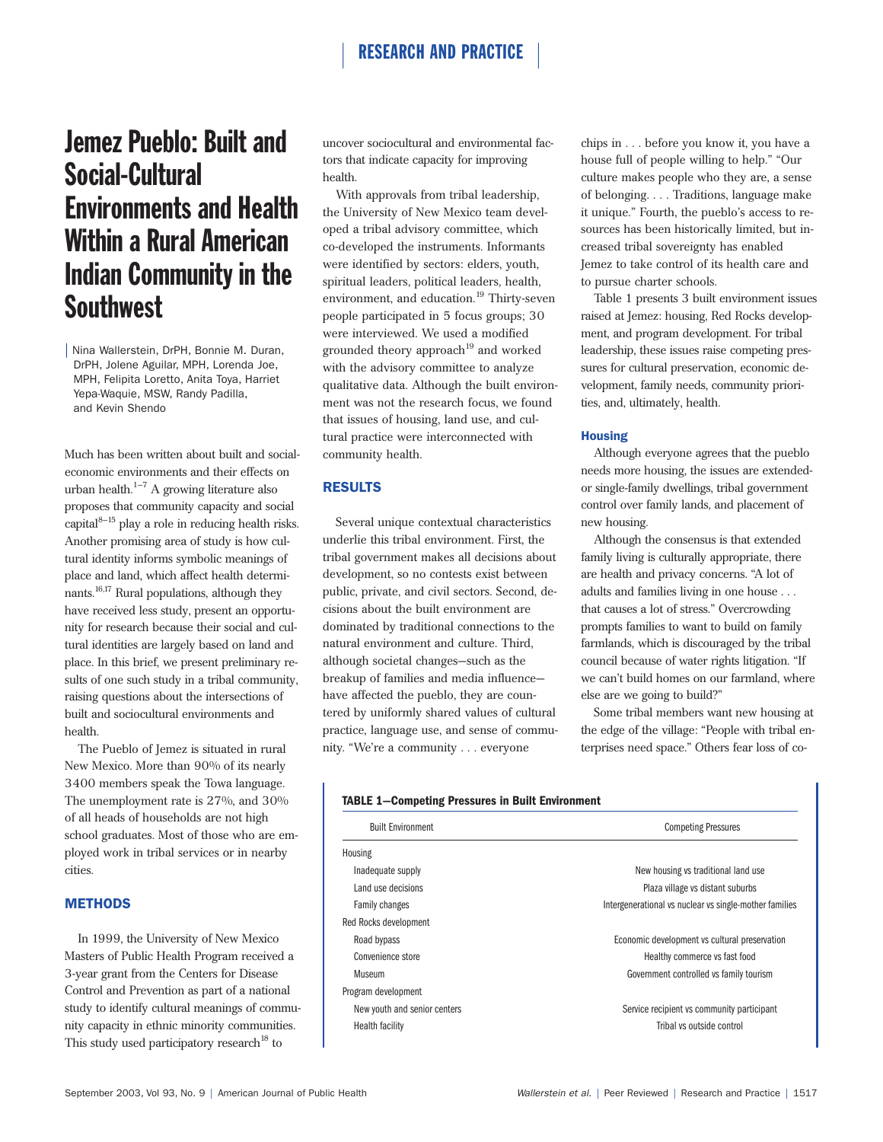# RESEARCH AND PRACTICE

# Jemez Pueblo: Built and Social-Cultural Environments and Health Within a Rural American Indian Community in the **Southwest**

| Nina Wallerstein, DrPH, Bonnie M. Duran, DrPH, Jolene Aguilar, MPH, Lorenda Joe, MPH, Felipita Loretto, Anita Toya, Harriet Yepa-Waquie, MSW, Randy Padilla, and Kevin Shendo

Much has been written about built and socialeconomic environments and their effects on urban health. $1-7$  A growing literature also proposes that community capacity and social capital $8-15$  play a role in reducing health risks. Another promising area of study is how cultural identity informs symbolic meanings of place and land, which affect health determinants. $16,17$  Rural populations, although they have received less study, present an opportunity for research because their social and cultural identities are largely based on land and place. In this brief, we present preliminary results of one such study in a tribal community, raising questions about the intersections of built and sociocultural environments and health.

The Pueblo of Jemez is situated in rural New Mexico. More than 90% of its nearly 3400 members speak the Towa language. The unemployment rate is 27%, and 30% of all heads of households are not high school graduates. Most of those who are employed work in tribal services or in nearby cities.

# **METHODS**

In 1999, the University of New Mexico Masters of Public Health Program received a 3-year grant from the Centers for Disease Control and Prevention as part of a national study to identify cultural meanings of community capacity in ethnic minority communities. This study used participatory research<sup>18</sup> to

uncover sociocultural and environmental factors that indicate capacity for improving health.

With approvals from tribal leadership, the University of New Mexico team developed a tribal advisory committee, which co-developed the instruments. Informants were identified by sectors: elders, youth, spiritual leaders, political leaders, health, environment, and education.<sup>19</sup> Thirty-seven people participated in 5 focus groups; 30 were interviewed. We used a modified grounded theory approach<sup>19</sup> and worked with the advisory committee to analyze qualitative data. Although the built environment was not the research focus, we found that issues of housing, land use, and cultural practice were interconnected with community health.

## RESULTS

Several unique contextual characteristics underlie this tribal environment. First, the tribal government makes all decisions about development, so no contests exist between public, private, and civil sectors. Second, decisions about the built environment are dominated by traditional connections to the natural environment and culture. Third, although societal changes—such as the breakup of families and media influence have affected the pueblo, they are countered by uniformly shared values of cultural practice, language use, and sense of community. "We're a community . . . everyone

chips in . . . before you know it, you have a house full of people willing to help." "Our culture makes people who they are, a sense of belonging. . . . Traditions, language make it unique." Fourth, the pueblo's access to resources has been historically limited, but increased tribal sovereignty has enabled Jemez to take control of its health care and to pursue charter schools.

Table 1 presents 3 built environment issues raised at Jemez: housing, Red Rocks development, and program development. For tribal leadership, these issues raise competing pressures for cultural preservation, economic development, family needs, community priorities, and, ultimately, health.

#### **Housing**

Although everyone agrees that the pueblo needs more housing, the issues are extendedor single-family dwellings, tribal government control over family lands, and placement of new housing.

Although the consensus is that extended family living is culturally appropriate, there are health and privacy concerns. "A lot of adults and families living in one house . . . that causes a lot of stress." Overcrowding prompts families to want to build on family farmlands, which is discouraged by the tribal council because of water rights litigation. "If we can't build homes on our farmland, where else are we going to build?"

Some tribal members want new housing at the edge of the village: "People with tribal enterprises need space." Others fear loss of co-

| <b>Built Environment</b>     | <b>Competing Pressures</b>                             |
|------------------------------|--------------------------------------------------------|
| Housing                      |                                                        |
| Inadequate supply            | New housing vs traditional land use                    |
| Land use decisions           | Plaza village vs distant suburbs                       |
| Family changes               | Intergenerational vs nuclear vs single-mother families |
| Red Rocks development        |                                                        |
| Road bypass                  | Economic development vs cultural preservation          |
| Convenience store            | Healthy commerce vs fast food                          |
| Museum                       | Government controlled vs family tourism                |
| Program development          |                                                        |
| New youth and senior centers | Service recipient vs community participant             |
| <b>Health facility</b>       | Tribal vs outside control                              |
|                              |                                                        |

### **TABLE 1—Competing Pressures in Built Environment**